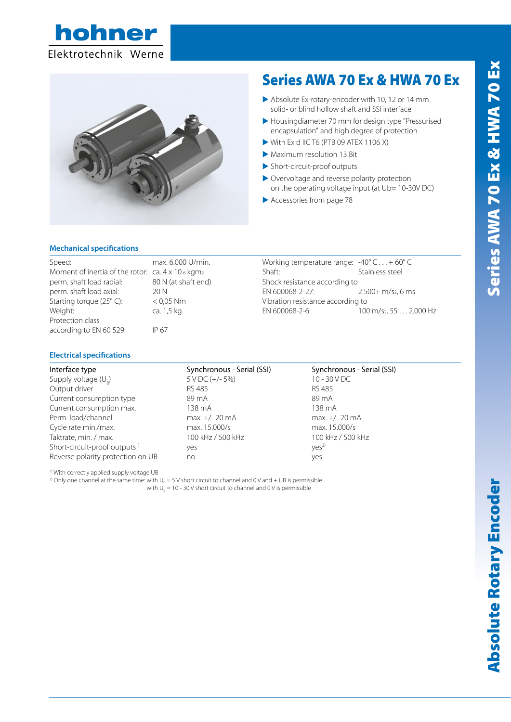



# Series AWA 70 Ex & HWA 70 Ex

- Absolute Ex-rotary-encoder with 10, 12 or 14 mm solid- or blind hollow shaft and SSI interface
- E Housingdiameter 70 mm for design type "Pressurised encapsulation" and high degree of protection
- $\triangleright$  With Ex d IIC T6 (PTB 09 ATEX 1106 X)
- E Maximum resolution 13 Bit
- $\blacktriangleright$  Short-circuit-proof outputs
- E Overvoltage and reverse polarity protection on the operating voltage input (at Ub= 10-30V DC)
- $\blacktriangleright$  Accessories from page 78

## **Mechanical specifications**

| Speed:                                            | max. 6.000 U/min.   | Working temperature range: $-40^{\circ}$ C + 60° C |                       |  |  |  |
|---------------------------------------------------|---------------------|----------------------------------------------------|-----------------------|--|--|--|
| Moment of inertia of the rotor: ca. 4 x 10-6 kgm2 |                     | Shaft:                                             | Stainless steel       |  |  |  |
| perm. shaft load radial:                          | 80 N (at shaft end) | Shock resistance according to                      |                       |  |  |  |
| perm. shaft load axial:                           | 20 N                | EN 600068-2-27:                                    | $2.500 + m/s2$ , 6 ms |  |  |  |
| Starting torque (25°C):                           | $< 0.05$ Nm         | Vibration resistance according to                  |                       |  |  |  |
| Weight:                                           | ca. 1,5 kg          | EN 600068-2-6:                                     | 100 m/s2, 55 2.000 Hz |  |  |  |
| Protection class                                  |                     |                                                    |                       |  |  |  |
| according to EN 60 529:                           | IP 67               |                                                    |                       |  |  |  |

### **Electrical specifications**

| Interface type                            | Synchronous - Serial (SSI) | Synchronous - Serial (SSI) |
|-------------------------------------------|----------------------------|----------------------------|
| Supply voltage $(U_{R})$                  | 5 V DC (+/- 5%)            | $10 - 30 VDC$              |
| Output driver                             | RS 485                     | RS 485                     |
| Current consumption type                  | 89 m A                     | 89 m A                     |
| Current consumption max.                  | 138 mA                     | 138 mA                     |
| Perm. load/channel                        | $max. +/- 20 mA$           | $max. +/- 20 mA$           |
| Cycle rate min./max.                      | max. 15.000/s              | max. 15.000/s              |
| Taktrate, min. / max.                     | 100 kHz / 500 kHz          | 100 kHz / 500 kHz          |
| Short-circuit-proof outputs <sup>1)</sup> | yes                        | Yes <sup>2</sup>           |
| Reverse polarity protection on UB         | no                         | yes                        |

1) With correctly applied supply voltage UB

 $^{\text{2)}}$  Only one channel at the same time: with U<sub>B</sub> = 5 V short circuit to channel and 0 V and + UB is permissible with  $\cup_{_{\mathrm{B}}}=$  10 - 30 V short circuit to channel and 0 V is permissible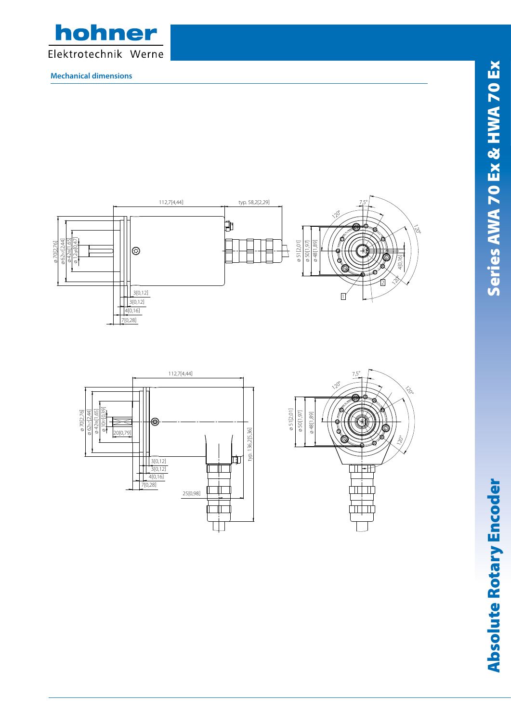

**Mechanical dimensions**







73Absolute Rotary Encoder Series HWA 70 Ex & HWA 70 Ex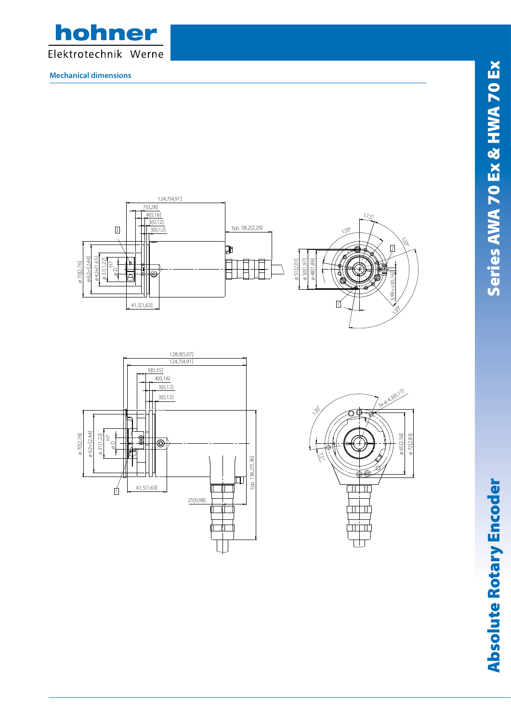

**Mechanical dimensions**